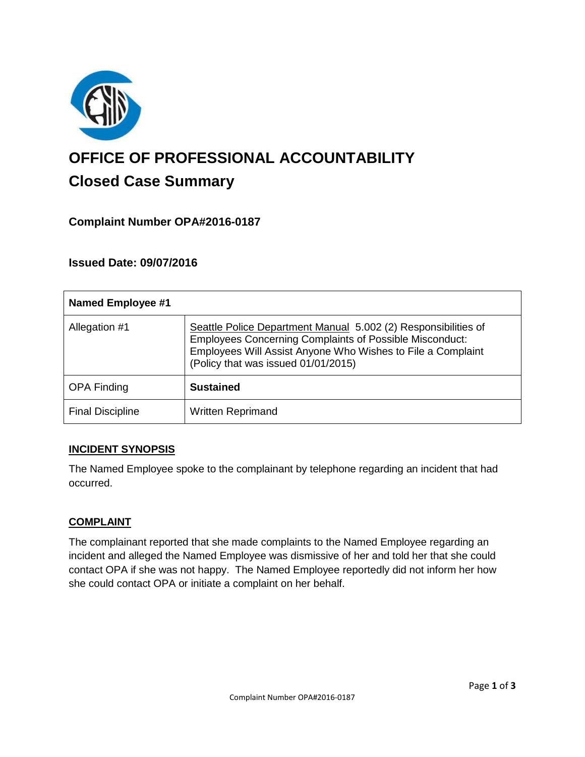

# **OFFICE OF PROFESSIONAL ACCOUNTABILITY Closed Case Summary**

## **Complaint Number OPA#2016-0187**

## **Issued Date: 09/07/2016**

| <b>Named Employee #1</b> |                                                                                                                                                                                                                                        |
|--------------------------|----------------------------------------------------------------------------------------------------------------------------------------------------------------------------------------------------------------------------------------|
| Allegation #1            | Seattle Police Department Manual 5.002 (2) Responsibilities of<br><b>Employees Concerning Complaints of Possible Misconduct:</b><br>Employees Will Assist Anyone Who Wishes to File a Complaint<br>(Policy that was issued 01/01/2015) |
| <b>OPA Finding</b>       | <b>Sustained</b>                                                                                                                                                                                                                       |
| <b>Final Discipline</b>  | <b>Written Reprimand</b>                                                                                                                                                                                                               |

## **INCIDENT SYNOPSIS**

The Named Employee spoke to the complainant by telephone regarding an incident that had occurred.

#### **COMPLAINT**

The complainant reported that she made complaints to the Named Employee regarding an incident and alleged the Named Employee was dismissive of her and told her that she could contact OPA if she was not happy. The Named Employee reportedly did not inform her how she could contact OPA or initiate a complaint on her behalf.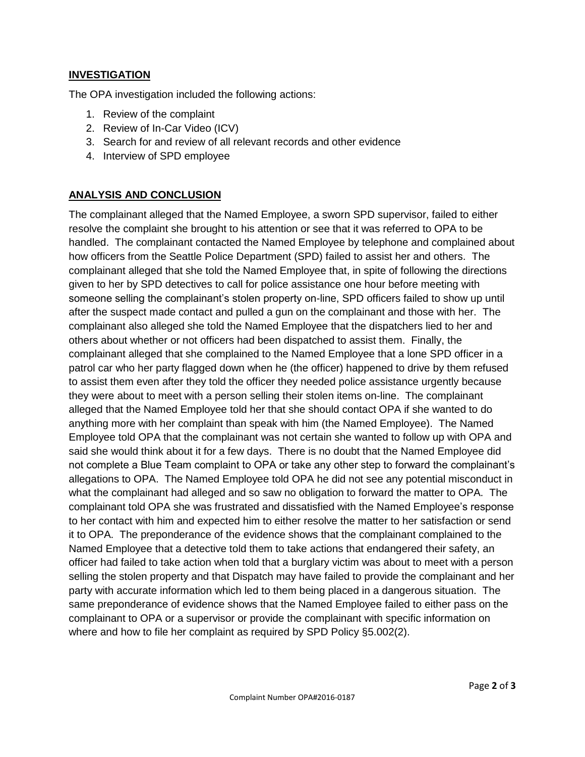#### **INVESTIGATION**

The OPA investigation included the following actions:

- 1. Review of the complaint
- 2. Review of In-Car Video (ICV)
- 3. Search for and review of all relevant records and other evidence
- 4. Interview of SPD employee

## **ANALYSIS AND CONCLUSION**

The complainant alleged that the Named Employee, a sworn SPD supervisor, failed to either resolve the complaint she brought to his attention or see that it was referred to OPA to be handled. The complainant contacted the Named Employee by telephone and complained about how officers from the Seattle Police Department (SPD) failed to assist her and others. The complainant alleged that she told the Named Employee that, in spite of following the directions given to her by SPD detectives to call for police assistance one hour before meeting with someone selling the complainant's stolen property on-line, SPD officers failed to show up until after the suspect made contact and pulled a gun on the complainant and those with her. The complainant also alleged she told the Named Employee that the dispatchers lied to her and others about whether or not officers had been dispatched to assist them. Finally, the complainant alleged that she complained to the Named Employee that a lone SPD officer in a patrol car who her party flagged down when he (the officer) happened to drive by them refused to assist them even after they told the officer they needed police assistance urgently because they were about to meet with a person selling their stolen items on-line. The complainant alleged that the Named Employee told her that she should contact OPA if she wanted to do anything more with her complaint than speak with him (the Named Employee). The Named Employee told OPA that the complainant was not certain she wanted to follow up with OPA and said she would think about it for a few days. There is no doubt that the Named Employee did not complete a Blue Team complaint to OPA or take any other step to forward the complainant's allegations to OPA. The Named Employee told OPA he did not see any potential misconduct in what the complainant had alleged and so saw no obligation to forward the matter to OPA. The complainant told OPA she was frustrated and dissatisfied with the Named Employee's response to her contact with him and expected him to either resolve the matter to her satisfaction or send it to OPA. The preponderance of the evidence shows that the complainant complained to the Named Employee that a detective told them to take actions that endangered their safety, an officer had failed to take action when told that a burglary victim was about to meet with a person selling the stolen property and that Dispatch may have failed to provide the complainant and her party with accurate information which led to them being placed in a dangerous situation. The same preponderance of evidence shows that the Named Employee failed to either pass on the complainant to OPA or a supervisor or provide the complainant with specific information on where and how to file her complaint as required by SPD Policy §5.002(2).